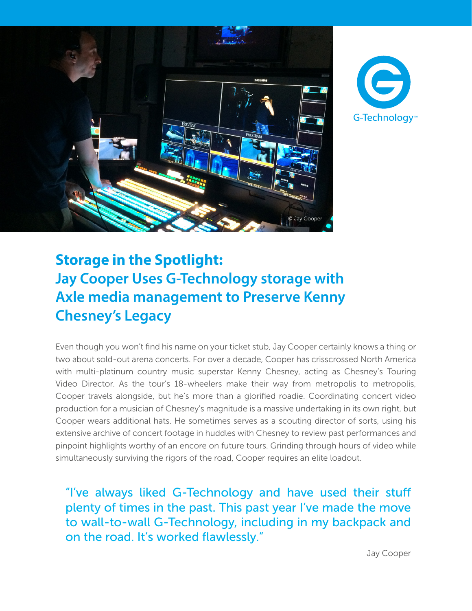



## **Storage in the Spotlight: Jay Cooper Uses G-Technology storage with Axle media management to Preserve Kenny Chesney's Legacy**

Even though you won't find his name on your ticket stub, Jay Cooper certainly knows a thing or two about sold-out arena concerts. For over a decade, Cooper has crisscrossed North America with multi-platinum country music superstar Kenny Chesney, acting as Chesney's Touring Video Director. As the tour's 18-wheelers make their way from metropolis to metropolis, Cooper travels alongside, but he's more than a glorified roadie. Coordinating concert video production for a musician of Chesney's magnitude is a massive undertaking in its own right, but Cooper wears additional hats. He sometimes serves as a scouting director of sorts, using his extensive archive of concert footage in huddles with Chesney to review past performances and pinpoint highlights worthy of an encore on future tours. Grinding through hours of video while simultaneously surviving the rigors of the road, Cooper requires an elite loadout.

"I've always liked G-Technology and have used their stuff plenty of times in the past. This past year I've made the move to wall-to-wall G-Technology, including in my backpack and on the road. It's worked flawlessly."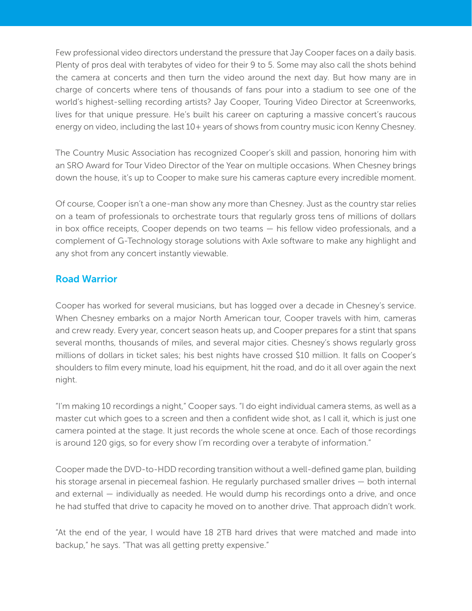Few professional video directors understand the pressure that Jay Cooper faces on a daily basis. Plenty of pros deal with terabytes of video for their 9 to 5. Some may also call the shots behind the camera at concerts and then turn the video around the next day. But how many are in charge of concerts where tens of thousands of fans pour into a stadium to see one of the world's highest-selling recording artists? Jay Cooper, Touring Video Director at Screenworks, lives for that unique pressure. He's built his career on capturing a massive concert's raucous energy on video, including the last 10+ years of shows from country music icon Kenny Chesney.

The Country Music Association has recognized Cooper's skill and passion, honoring him with an SRO Award for Tour Video Director of the Year on multiple occasions. When Chesney brings down the house, it's up to Cooper to make sure his cameras capture every incredible moment.

Of course, Cooper isn't a one-man show any more than Chesney. Just as the country star relies on a team of professionals to orchestrate tours that regularly gross tens of millions of dollars in box office receipts, Cooper depends on two teams — his fellow video professionals, and a complement of G-Technology storage solutions with Axle software to make any highlight and any shot from any concert instantly viewable.

## Road Warrior

Cooper has worked for several musicians, but has logged over a decade in Chesney's service. When Chesney embarks on a major North American tour, Cooper travels with him, cameras and crew ready. Every year, concert season heats up, and Cooper prepares for a stint that spans several months, thousands of miles, and several major cities. Chesney's shows regularly gross millions of dollars in ticket sales; his best nights have crossed \$10 million. It falls on Cooper's shoulders to film every minute, load his equipment, hit the road, and do it all over again the next night.

"I'm making 10 recordings a night," Cooper says. "I do eight individual camera stems, as well as a master cut which goes to a screen and then a confident wide shot, as I call it, which is just one camera pointed at the stage. It just records the whole scene at once. Each of those recordings is around 120 gigs, so for every show I'm recording over a terabyte of information."

Cooper made the DVD-to-HDD recording transition without a well-defined game plan, building his storage arsenal in piecemeal fashion. He regularly purchased smaller drives — both internal and external — individually as needed. He would dump his recordings onto a drive, and once he had stuffed that drive to capacity he moved on to another drive. That approach didn't work.

"At the end of the year, I would have 18 2TB hard drives that were matched and made into backup," he says. "That was all getting pretty expensive."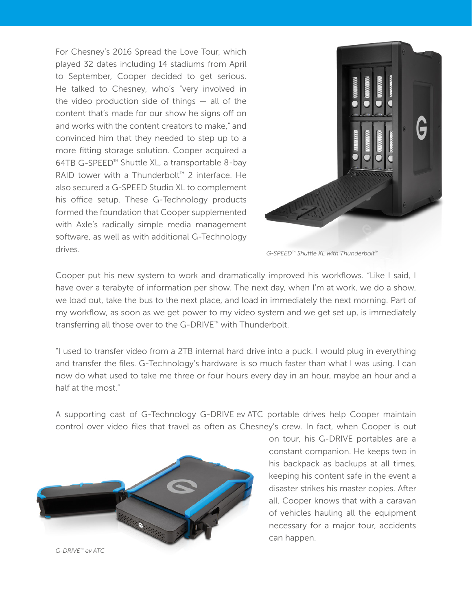For Chesney's 2016 Spread the Love Tour, which played 32 dates including 14 stadiums from April to September, Cooper decided to get serious. He talked to Chesney, who's "very involved in the video production side of things  $-$  all of the content that's made for our show he signs off on and works with the content creators to make," and convinced him that they needed to step up to a more fitting storage solution. Cooper acquired a 64TB G-SPEED™ Shuttle XL, a transportable 8-bay RAID tower with a Thunderbolt™ 2 interface. He also secured a G-SPEED Studio XL to complement his office setup. These G-Technology products formed the foundation that Cooper supplemented with Axle's radically simple media management software, as well as with additional G-Technology drives.



*G-SPEED™ Shuttle XL with Thunderbolt™*

Cooper put his new system to work and dramatically improved his workflows. "Like I said, I have over a terabyte of information per show. The next day, when I'm at work, we do a show, we load out, take the bus to the next place, and load in immediately the next morning. Part of my workflow, as soon as we get power to my video system and we get set up, is immediately transferring all those over to the G-DRIVE™ with Thunderbolt.

"I used to transfer video from a 2TB internal hard drive into a puck. I would plug in everything and transfer the files. G-Technology's hardware is so much faster than what I was using. I can now do what used to take me three or four hours every day in an hour, maybe an hour and a half at the most"

A supporting cast of G-Technology G-DRIVE ev ATC portable drives help Cooper maintain control over video files that travel as often as Chesney's crew. In fact, when Cooper is out



on tour, his G-DRIVE portables are a constant companion. He keeps two in his backpack as backups at all times, keeping his content safe in the event a disaster strikes his master copies. After all, Cooper knows that with a caravan of vehicles hauling all the equipment necessary for a major tour, accidents can happen.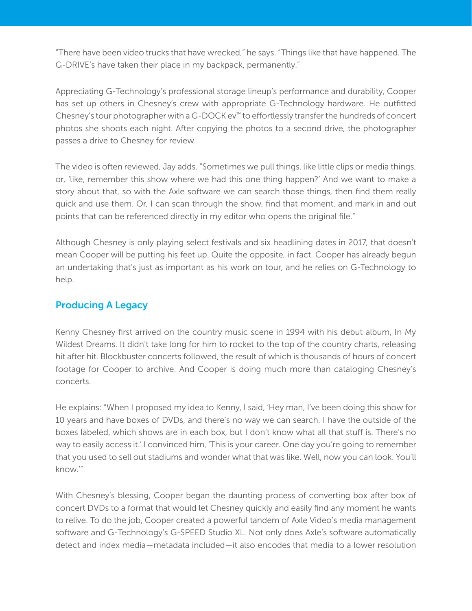"There have been video trucks that have wrecked," he says. "Things like that have happened. The G-DRIVE's have taken their place in my backpack, permanently."

Appreciating G-Technology's professional storage lineup's performance and durability, Cooper has set up others in Chesney's crew with appropriate G-Technology hardware. He outfitted Chesney's tour photographer with a G-DOCK ev™ to effortlessly transfer the hundreds of concert photos she shoots each night. After copying the photos to a second drive, the photographer passes a drive to Chesney for review.

The video is often reviewed, Jay adds. "Sometimes we pull things, like little clips or media things, or, 'like, remember this show where we had this one thing happen?' And we want to make a story about that, so with the Axle software we can search those things, then find them really quick and use them. Or, I can scan through the show, find that moment, and mark in and out points that can be referenced directly in my editor who opens the original file."

Although Chesney is only playing select festivals and six headlining dates in 2017, that doesn't mean Cooper will be putting his feet up. Quite the opposite, in fact. Cooper has already begun an undertaking that's just as important as his work on tour, and he relies on G-Technology to help.

## Producing A Legacy

Kenny Chesney first arrived on the country music scene in 1994 with his debut album, In My Wildest Dreams. It didn't take long for him to rocket to the top of the country charts, releasing hit after hit. Blockbuster concerts followed, the result of which is thousands of hours of concert footage for Cooper to archive. And Cooper is doing much more than cataloging Chesney's concerts.

He explains: "When I proposed my idea to Kenny, I said, 'Hey man, I've been doing this show for 10 years and have boxes of DVDs, and there's no way we can search. I have the outside of the boxes labeled, which shows are in each box, but I don't know what all that stuff is. There's no way to easily access it.' I convinced him, 'This is your career. One day you're going to remember that you used to sell out stadiums and wonder what that was like. Well, now you can look. You'll know.'"

With Chesney's blessing, Cooper began the daunting process of converting box after box of concert DVDs to a format that would let Chesney quickly and easily find any moment he wants to relive. To do the job, Cooper created a powerful tandem of Axle Video's media management software and G-Technology's G-SPEED Studio XL. Not only does Axle's software automatically detect and index media—metadata included—it also encodes that media to a lower resolution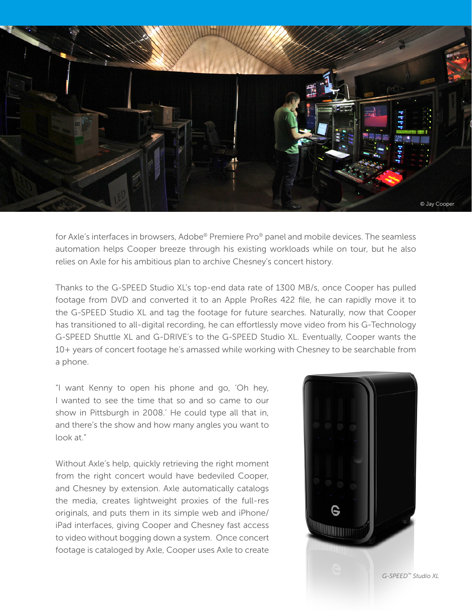

for Axle's interfaces in browsers, Adobe® Premiere Pro® panel and mobile devices. The seamless automation helps Cooper breeze through his existing workloads while on tour, but he also relies on Axle for his ambitious plan to archive Chesney's concert history.

Thanks to the G-SPEED Studio XL's top-end data rate of 1300 MB/s, once Cooper has pulled footage from DVD and converted it to an Apple ProRes 422 file, he can rapidly move it to the G-SPEED Studio XL and tag the footage for future searches. Naturally, now that Cooper has transitioned to all-digital recording, he can effortlessly move video from his G-Technology G-SPEED Shuttle XL and G-DRIVE's to the G-SPEED Studio XL. Eventually, Cooper wants the 10+ years of concert footage he's amassed while working with Chesney to be searchable from a phone.

"I want Kenny to open his phone and go, 'Oh hey, I wanted to see the time that so and so came to our show in Pittsburgh in 2008.' He could type all that in, and there's the show and how many angles you want to look at."

Without Axle's help, quickly retrieving the right moment from the right concert would have bedeviled Cooper, and Chesney by extension. Axle automatically catalogs the media, creates lightweight proxies of the full-res originals, and puts them in its simple web and iPhone/ iPad interfaces, giving Cooper and Chesney fast access to video without bogging down a system. Once concert footage is cataloged by Axle, Cooper uses Axle to create